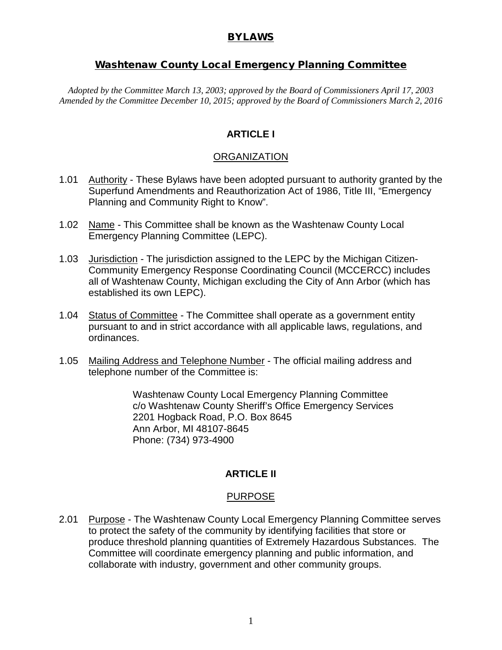### BYLAWS

## Washtenaw County Local Emergency Planning Committee

*Adopted by the Committee March 13, 2003; approved by the Board of Commissioners April 17, 2003 Amended by the Committee December 10, 2015; approved by the Board of Commissioners March 2, 2016*

## **ARTICLE I**

### **ORGANIZATION**

- 1.01 Authority These Bylaws have been adopted pursuant to authority granted by the Superfund Amendments and Reauthorization Act of 1986, Title III, "Emergency Planning and Community Right to Know".
- 1.02 Name This Committee shall be known as the Washtenaw County Local Emergency Planning Committee (LEPC).
- 1.03 Jurisdiction The jurisdiction assigned to the LEPC by the Michigan Citizen-Community Emergency Response Coordinating Council (MCCERCC) includes all of Washtenaw County, Michigan excluding the City of Ann Arbor (which has established its own LEPC).
- 1.04 Status of Committee The Committee shall operate as a government entity pursuant to and in strict accordance with all applicable laws, regulations, and ordinances.
- 1.05 Mailing Address and Telephone Number The official mailing address and telephone number of the Committee is:

Washtenaw County Local Emergency Planning Committee c/o Washtenaw County Sheriff's Office Emergency Services 2201 Hogback Road, P.O. Box 8645 Ann Arbor, MI 48107-8645 Phone: (734) 973-4900

## **ARTICLE II**

## PURPOSE

2.01 Purpose - The Washtenaw County Local Emergency Planning Committee serves to protect the safety of the community by identifying facilities that store or produce threshold planning quantities of Extremely Hazardous Substances. The Committee will coordinate emergency planning and public information, and collaborate with industry, government and other community groups.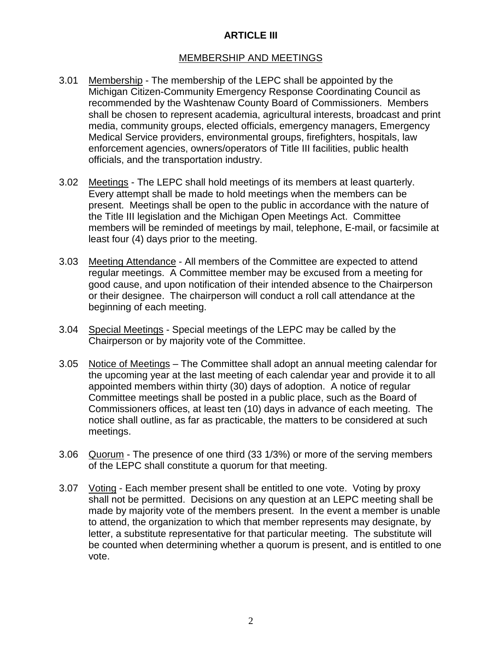# **ARTICLE III**

## MEMBERSHIP AND MEETINGS

- 3.01 Membership The membership of the LEPC shall be appointed by the Michigan Citizen-Community Emergency Response Coordinating Council as recommended by the Washtenaw County Board of Commissioners. Members shall be chosen to represent academia, agricultural interests, broadcast and print media, community groups, elected officials, emergency managers, Emergency Medical Service providers, environmental groups, firefighters, hospitals, law enforcement agencies, owners/operators of Title III facilities, public health officials, and the transportation industry.
- 3.02 Meetings The LEPC shall hold meetings of its members at least quarterly. Every attempt shall be made to hold meetings when the members can be present. Meetings shall be open to the public in accordance with the nature of the Title III legislation and the Michigan Open Meetings Act. Committee members will be reminded of meetings by mail, telephone, E-mail, or facsimile at least four (4) days prior to the meeting.
- 3.03 Meeting Attendance All members of the Committee are expected to attend regular meetings. A Committee member may be excused from a meeting for good cause, and upon notification of their intended absence to the Chairperson or their designee. The chairperson will conduct a roll call attendance at the beginning of each meeting.
- 3.04 Special Meetings Special meetings of the LEPC may be called by the Chairperson or by majority vote of the Committee.
- 3.05 Notice of Meetings The Committee shall adopt an annual meeting calendar for the upcoming year at the last meeting of each calendar year and provide it to all appointed members within thirty (30) days of adoption. A notice of regular Committee meetings shall be posted in a public place, such as the Board of Commissioners offices, at least ten (10) days in advance of each meeting. The notice shall outline, as far as practicable, the matters to be considered at such meetings.
- 3.06 Quorum The presence of one third (33 1/3%) or more of the serving members of the LEPC shall constitute a quorum for that meeting.
- 3.07 Voting Each member present shall be entitled to one vote. Voting by proxy shall not be permitted. Decisions on any question at an LEPC meeting shall be made by majority vote of the members present. In the event a member is unable to attend, the organization to which that member represents may designate, by letter, a substitute representative for that particular meeting. The substitute will be counted when determining whether a quorum is present, and is entitled to one vote.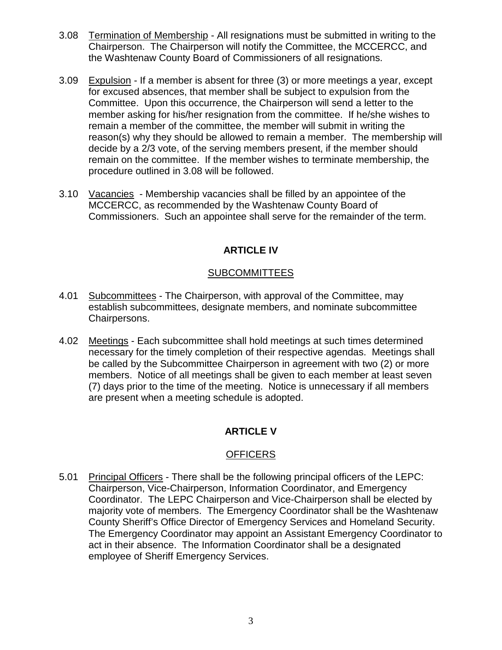- 3.08 Termination of Membership All resignations must be submitted in writing to the Chairperson. The Chairperson will notify the Committee, the MCCERCC, and the Washtenaw County Board of Commissioners of all resignations.
- 3.09 Expulsion If a member is absent for three (3) or more meetings a year, except for excused absences, that member shall be subject to expulsion from the Committee. Upon this occurrence, the Chairperson will send a letter to the member asking for his/her resignation from the committee. If he/she wishes to remain a member of the committee, the member will submit in writing the reason(s) why they should be allowed to remain a member. The membership will decide by a 2/3 vote, of the serving members present, if the member should remain on the committee. If the member wishes to terminate membership, the procedure outlined in 3.08 will be followed.
- 3.10 Vacancies Membership vacancies shall be filled by an appointee of the MCCERCC, as recommended by the Washtenaw County Board of Commissioners. Such an appointee shall serve for the remainder of the term.

## **ARTICLE IV**

### SUBCOMMITTEES

- 4.01 Subcommittees The Chairperson, with approval of the Committee, may establish subcommittees, designate members, and nominate subcommittee Chairpersons.
- 4.02 Meetings Each subcommittee shall hold meetings at such times determined necessary for the timely completion of their respective agendas. Meetings shall be called by the Subcommittee Chairperson in agreement with two (2) or more members. Notice of all meetings shall be given to each member at least seven (7) days prior to the time of the meeting. Notice is unnecessary if all members are present when a meeting schedule is adopted.

# **ARTICLE V**

## **OFFICERS**

5.01 Principal Officers - There shall be the following principal officers of the LEPC: Chairperson, Vice-Chairperson, Information Coordinator, and Emergency Coordinator. The LEPC Chairperson and Vice-Chairperson shall be elected by majority vote of members. The Emergency Coordinator shall be the Washtenaw County Sheriff's Office Director of Emergency Services and Homeland Security. The Emergency Coordinator may appoint an Assistant Emergency Coordinator to act in their absence. The Information Coordinator shall be a designated employee of Sheriff Emergency Services.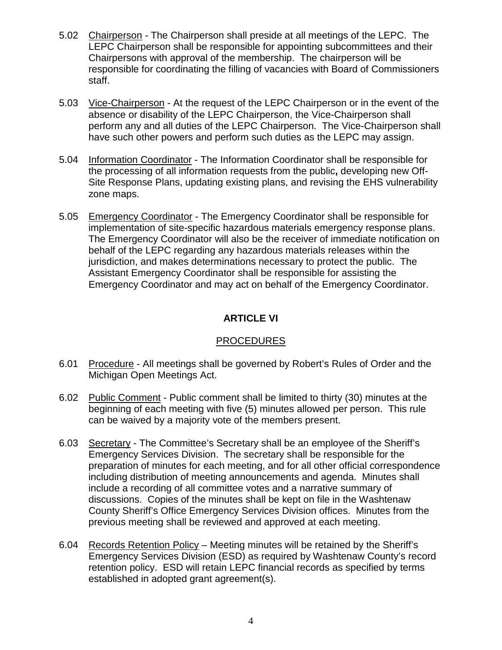- 5.02 Chairperson The Chairperson shall preside at all meetings of the LEPC. The LEPC Chairperson shall be responsible for appointing subcommittees and their Chairpersons with approval of the membership. The chairperson will be responsible for coordinating the filling of vacancies with Board of Commissioners staff.
- 5.03 Vice-Chairperson At the request of the LEPC Chairperson or in the event of the absence or disability of the LEPC Chairperson, the Vice-Chairperson shall perform any and all duties of the LEPC Chairperson. The Vice-Chairperson shall have such other powers and perform such duties as the LEPC may assign.
- 5.04 Information Coordinator The Information Coordinator shall be responsible for the processing of all information requests from the public**,** developing new Off-Site Response Plans, updating existing plans, and revising the EHS vulnerability zone maps.
- 5.05 Emergency Coordinator The Emergency Coordinator shall be responsible for implementation of site-specific hazardous materials emergency response plans. The Emergency Coordinator will also be the receiver of immediate notification on behalf of the LEPC regarding any hazardous materials releases within the jurisdiction, and makes determinations necessary to protect the public. The Assistant Emergency Coordinator shall be responsible for assisting the Emergency Coordinator and may act on behalf of the Emergency Coordinator.

## **ARTICLE VI**

## PROCEDURES

- 6.01 Procedure All meetings shall be governed by Robert's Rules of Order and the Michigan Open Meetings Act.
- 6.02 Public Comment Public comment shall be limited to thirty (30) minutes at the beginning of each meeting with five (5) minutes allowed per person. This rule can be waived by a majority vote of the members present.
- 6.03 Secretary The Committee's Secretary shall be an employee of the Sheriff's Emergency Services Division. The secretary shall be responsible for the preparation of minutes for each meeting, and for all other official correspondence including distribution of meeting announcements and agenda. Minutes shall include a recording of all committee votes and a narrative summary of discussions. Copies of the minutes shall be kept on file in the Washtenaw County Sheriff's Office Emergency Services Division offices. Minutes from the previous meeting shall be reviewed and approved at each meeting.
- 6.04 Records Retention Policy Meeting minutes will be retained by the Sheriff's Emergency Services Division (ESD) as required by Washtenaw County's record retention policy. ESD will retain LEPC financial records as specified by terms established in adopted grant agreement(s).